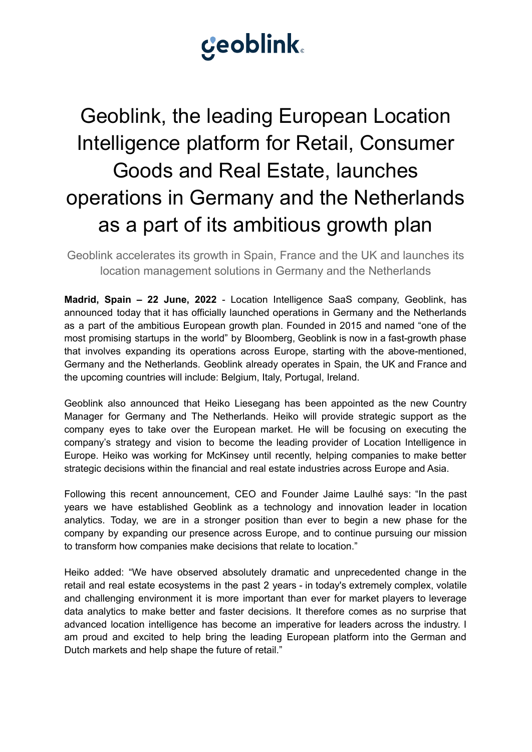# **Ceoblink**

## Geoblink, the leading European Location Intelligence platform for Retail, Consumer Goods and Real Estate, launches operations in Germany and the Netherlands as a part of its ambitious growth plan

Geoblink accelerates its growth in Spain, France and the UK and launches its location management solutions in Germany and the Netherlands

**Madrid, Spain – 22 June, 2022** - Location Intelligence SaaS company, Geoblink, has announced today that it has officially launched operations in Germany and the Netherlands as a part of the ambitious European growth plan. Founded in 2015 and named "one of the most promising startups in the world" by Bloomberg, Geoblink is now in a fast-growth phase that involves expanding its operations across Europe, starting with the above-mentioned, Germany and the Netherlands. Geoblink already operates in Spain, the UK and France and the upcoming countries will include: Belgium, Italy, Portugal, Ireland.

Geoblink also announced that Heiko Liesegang has been appointed as the new Country Manager for Germany and The Netherlands. Heiko will provide strategic support as the company eyes to take over the European market. He will be focusing on executing the company's strategy and vision to become the leading provider of Location Intelligence in Europe. Heiko was working for McKinsey until recently, helping companies to make better strategic decisions within the financial and real estate industries across Europe and Asia.

Following this recent announcement, CEO and Founder Jaime Laulhé says: "In the past years we have established Geoblink as a technology and innovation leader in location analytics. Today, we are in a stronger position than ever to begin a new phase for the company by expanding our presence across Europe, and to continue pursuing our mission to transform how companies make decisions that relate to location."

Heiko added: "We have observed absolutely dramatic and unprecedented change in the retail and real estate ecosystems in the past 2 years - in today's extremely complex, volatile and challenging environment it is more important than ever for market players to leverage data analytics to make better and faster decisions. It therefore comes as no surprise that advanced location intelligence has become an imperative for leaders across the industry. I am proud and excited to help bring the leading European platform into the German and Dutch markets and help shape the future of retail."